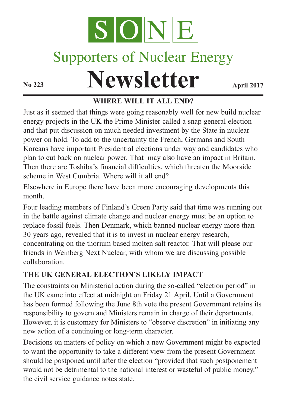

# Supporters of Nuclear Energy

# **Newsletter April 2017**

# **WHERE WILL IT ALL END?**

Just as it seemed that things were going reasonably well for new build nuclear energy projects in the UK the Prime Minister called a snap general election and that put discussion on much needed investment by the State in nuclear power on hold. To add to the uncertainty the French, Germans and South Koreans have important Presidential elections under way and candidates who plan to cut back on nuclear power. That may also have an impact in Britain. Then there are Toshiba's financial difficulties, which threaten the Moorside scheme in West Cumbria. Where will it all end?

Elsewhere in Europe there have been more encouraging developments this month.

Four leading members of Finland's Green Party said that time was running out in the battle against climate change and nuclear energy must be an option to replace fossil fuels. Then Denmark, which banned nuclear energy more than 30 years ago, revealed that it is to invest in nuclear energy research, concentrating on the thorium based molten salt reactor. That will please our friends in Weinberg Next Nuclear, with whom we are discussing possible collaboration.

#### **THE UK GENERAL ELECTION'S LIKELY IMPACT**

The constraints on Ministerial action during the so-called "election period" in the UK came into effect at midnight on Friday 21 April. Until a Government has been formed following the June 8th vote the present Government retains its responsibility to govern and Ministers remain in charge of their departments. However, it is customary for Ministers to "observe discretion" in initiating any new action of a continuing or long-term character.

Decisions on matters of policy on which a new Government might be expected to want the opportunity to take a different view from the present Government should be postponed until after the election "provided that such postponement would not be detrimental to the national interest or wasteful of public money." the civil service guidance notes state.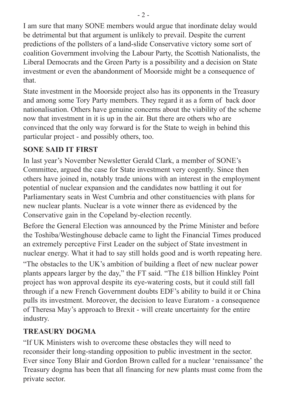I am sure that many SONE members would argue that inordinate delay would be detrimental but that argument is unlikely to prevail. Despite the current predictions of the pollsters of a land-slide Conservative victory some sort of coalition Government involving the Labour Party, the Scottish Nationalists, the Liberal Democrats and the Green Party is a possibility and a decision on State investment or even the abandonment of Moorside might be a consequence of that.

State investment in the Moorside project also has its opponents in the Treasury and among some Tory Party members. They regard it as a form of back door nationalisation. Others have genuine concerns about the viability of the scheme now that investment in it is up in the air. But there are others who are convinced that the only way forward is for the State to weigh in behind this particular project - and possibly others, too.

#### **SONE SAID IT FIRST**

In last year's November Newsletter Gerald Clark, a member of SONE's Committee, argued the case for State investment very cogently. Since then others have joined in, notably trade unions with an interest in the employment potential of nuclear expansion and the candidates now battling it out for Parliamentary seats in West Cumbria and other constituencies with plans for new nuclear plants. Nuclear is a vote winner there as evidenced by the Conservative gain in the Copeland by-election recently.

Before the General Election was announced by the Prime Minister and before the Toshiba/Westinghouse debacle came to light the Financial Times produced an extremely perceptive First Leader on the subject of State investment in nuclear energy. What it had to say still holds good and is worth repeating here. "The obstacles to the UK's ambition of building a fleet of new nuclear power plants appears larger by the day," the FT said. "The £18 billion Hinkley Point project has won approval despite its eye-watering costs, but it could still fall through if a new French Government doubts EDF's ability to build it or China pulls its investment. Moreover, the decision to leave Euratom - a consequence of Theresa May's approach to Brexit - will create uncertainty for the entire industry.

## **TREASURY DOGMA**

"If UK Ministers wish to overcome these obstacles they will need to reconsider their long-standing opposition to public investment in the sector. Ever since Tony Blair and Gordon Brown called for a nuclear 'renaissance' the Treasury dogma has been that all financing for new plants must come from the private sector.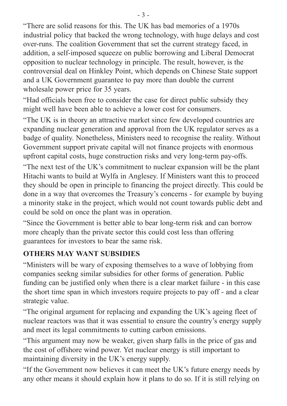"There are solid reasons for this. The UK has bad memories of a 1970s industrial policy that backed the wrong technology, with huge delays and cost over-runs. The coalition Government that set the current strategy faced, in addition, a self-imposed squeeze on public borrowing and Liberal Democrat opposition to nuclear technology in principle. The result, however, is the controversial deal on Hinkley Point, which depends on Chinese State support and a UK Government guarantee to pay more than double the current wholesale power price for 35 years.

"Had officials been free to consider the case for direct public subsidy they might well have been able to achieve a lower cost for consumers.

"The UK is in theory an attractive market since few developed countries are expanding nuclear generation and approval from the UK regulator serves as a badge of quality. Nonetheless, Ministers need to recognise the reality. Without Government support private capital will not finance projects with enormous upfront capital costs, huge construction risks and very long-term pay-offs.

"The next test of the UK's commitment to nuclear expansion will be the plant Hitachi wants to build at Wylfa in Anglesey. If Ministers want this to proceed they should be open in principle to financing the project directly. This could be done in a way that overcomes the Treasury's concerns - for example by buying a minority stake in the project, which would not count towards public debt and could be sold on once the plant was in operation.

"Since the Government is better able to bear long-term risk and can borrow more cheaply than the private sector this could cost less than offering guarantees for investors to bear the same risk.

#### **OTHERS MAY WANT SUBSIDIES**

"Ministers will be wary of exposing themselves to a wave of lobbying from companies seekng similar subsidies for other forms of generation. Public funding can be justified only when there is a clear market failure - in this case the short time span in which investors require projects to pay off - and a clear strategic value.

"The original argument for replacing and expanding the UK's ageing fleet of nuclear reactors was that it was essential to ensure the country's energy supply and meet its legal commitments to cutting carbon emissions.

"This argument may now be weaker, given sharp falls in the price of gas and the cost of offshore wind power. Yet nuclear energy is still important to maintaining diversity in the UK's energy supply.

"If the Government now believes it can meet the UK's future energy needs by any other means it should explain how it plans to do so. If it is still relying on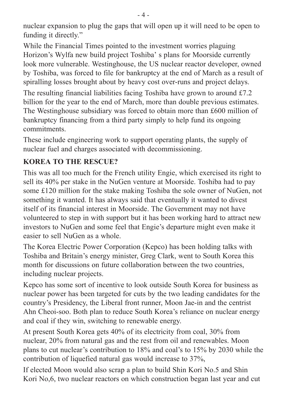nuclear expansion to plug the gaps that will open up it will need to be open to funding it directly."

While the Financial Times pointed to the investment worries plaguing Horizon's Wylfa new build project Toshiba' s plans for Moorside currently look more vulnerable. Westinghouse, the US nuclear reactor developer, owned by Toshiba, was forced to file for bankruptcy at the end of March as a result of spiralling losses brought about by heavy cost over-runs and project delays.

The resulting financial liabilities facing Toshiba have grown to around £7.2 billion for the year to the end of March, more than double previous estimates. The Westinghouse subsidiary was forced to obtain more than £600 million of bankruptcy financing from a third party simply to help fund its ongoing commitments.

These include engineering work to support operating plants, the supply of nuclear fuel and charges associated with decommissioning.

# **KOREA TO THE RESCUE?**

This was all too much for the French utility Engie, which exercised its right to sell its 40% per stake in the NuGen venture at Moorside. Toshiba had to pay some £120 million for the stake making Toshiba the sole owner of NuGen, not something it wanted. It has always said that eventually it wanted to divest itself of its financial interest in Moorside. The Government may not have volunteered to step in with support but it has been working hard to attract new investors to NuGen and some feel that Engie's departure might even make it easier to sell NuGen as a whole.

The Korea Electric Power Corporation (Kepco) has been holding talks with Toshiba and Britain's energy minister, Greg Clark, went to South Korea this month for discussions on future collaboration between the two countries, including nuclear projects.

Kepco has some sort of incentive to look outside South Korea for business as nuclear power has been targeted for cuts by the two leading candidates for the country's Presidency, the Liberal front runner, Moon Jae-in and the centrist Ahn Cheoi-soo. Both plan to reduce South Korea's reliance on nuclear energy and coal if they win, switching to renewable energy.

At present South Korea gets 40% of its electricity from coal, 30% from nuclear, 20% from natural gas and the rest from oil and renewables. Moon plans to cut nuclear's contribution to 18% and coal's to 15% by 2030 while the contribution of liquefied natural gas would increase to 37%,

If elected Moon would also scrap a plan to build Shin Kori No.5 and Shin Kori No,6, two nuclear reactors on which construction began last year and cut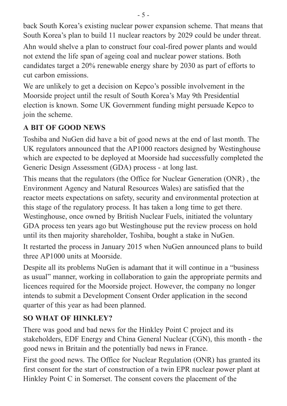back South Korea's existing nuclear power expansion scheme. That means that South Korea's plan to build 11 nuclear reactors by 2029 could be under threat.

Ahn would shelve a plan to construct four coal-fired power plants and would not extend the life span of ageing coal and nuclear power stations. Both candidates target a 20% renewable energy share by 2030 as part of efforts to cut carbon emissions.

We are unlikely to get a decision on Kepco's possible involvement in the Moorside project until the result of South Korea's May 9th Presidential election is known. Some UK Government funding might persuade Kepco to join the scheme.

# **A BIT OF GOOD NEWS**

Toshiba and NuGen did have a bit of good news at the end of last month. The UK regulators announced that the AP1000 reactors designed by Westinghouse which are expected to be deployed at Moorside had successfully completed the Generic Design Assessment (GDA) process - at long last.

This means that the regulators (the Office for Nuclear Generation (ONR) , the Environment Agency and Natural Resources Wales) are satisfied that the reactor meets expectations on safety, security and environmental protection at this stage of the regulatory process. It has taken a long time to get there. Westinghouse, once owned by British Nuclear Fuels, initiated the voluntary GDA process ten years ago but Westinghouse put the review process on hold until its then majority shareholder, Toshiba, bought a stake in NuGen.

It restarted the process in January 2015 when NuGen announced plans to build three AP1000 units at Moorside.

Despite all its problems NuGen is adamant that it will continue in a "business as usual" manner, working in collaboration to gain the appropriate permits and licences required for the Moorside project. However, the company no longer intends to submit a Development Consent Order application in the second quarter of this year as had been planned.

## **SO WHAT OF HINKLEY?**

There was good and bad news for the Hinkley Point C project and its stakeholders, EDF Energy and China General Nuclear (CGN), this month - the good news in Britain and the potentially bad news in France.

First the good news. The Office for Nuclear Regulation (ONR) has granted its first consent for the start of construction of a twin EPR nuclear power plant at Hinkley Point C in Somerset. The consent covers the placement of the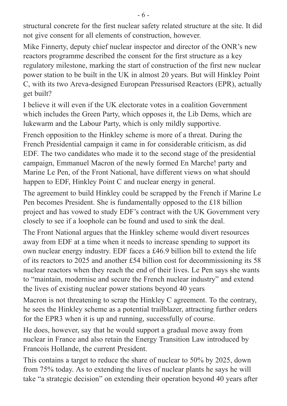structural concrete for the first nuclear safety related structure at the site. It did not give consent for all elements of construction, however.

Mike Finnerty, deputy chief nuclear inspector and director of the ONR's new reactors programme described the consent for the first structure as a key regulatory milestone, marking the start of construction of the first new nuclear power station to be built in the UK in almost 20 years. But will Hinkley Point C, with its two Areva-designed European Pressurised Reactors (EPR), actually get built?

I believe it will even if the UK electorate votes in a coalition Government which includes the Green Party, which opposes it, the Lib Dems, which are lukewarm and the Labour Party, which is only mildly supportive.

French opposition to the Hinkley scheme is more of a threat. During the French Presidential campaign it came in for considerable criticism, as did EDF. The two candidates who made it to the second stage of the presidential campaign, Emmanuel Macron of the newly formed En Marche! party and Marine Le Pen, of the Front National, have different views on what should happen to EDF, Hinkley Point C and nuclear energy in general.

The agreement to build Hinkley could be scrapped by the French if Marine Le Pen becomes President. She is fundamentally opposed to the £18 billion project and has vowed to study EDF's contract with the UK Government very closely to see if a loophole can be found and used to sink the deal.

The Front National argues that the Hinkley scheme would divert resources away from EDF at a time when it needs to increase spending to support its own nuclear energy industry. EDF faces a £46.9 billion bill to extend the life of its reactors to 2025 and another £54 billion cost for decommissioning its 58 nuclear reactors when they reach the end of their lives. Le Pen says she wants to "maintain, modernise and secure the French nuclear industry" and extend the lives of existing nuclear power stations beyond 40 years

Macron is not threatening to scrap the Hinkley C agreement. To the contrary, he sees the Hinkley scheme as a potential trailblazer, attracting further orders for the EPR3 when it is up and running, successfully of course.

He does, however, say that he would support a gradual move away from nuclear in France and also retain the Energy Transition Law introduced by Francois Hollande, the current President.

This contains a target to reduce the share of nuclear to 50% by 2025, down from 75% today. As to extending the lives of nuclear plants he says he will take "a strategic decision" on extending their operation beyond 40 years after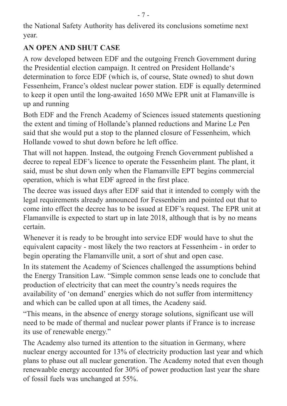the National Safety Authority has delivered its conclusions sometime next year.

#### **AN OPEN AND SHUT CASE**

A row developed between EDF and the outgoing French Government during the Presidential election campaign. It centred on President Hollande's determination to force EDF (which is, of course, State owned) to shut down Fessenheim, France's oldest nuclear power station. EDF is equally determined to keep it open until the long-awaited 1650 MWe EPR unit at Flamanville is up and running

Both EDF and the French Academy of Sciences issued statements questioning the extent and timing of Hollande's planned reductions and Marine Le Pen said that she would put a stop to the planned closure of Fessenheim, which Hollande vowed to shut down before he left office.

That will not happen. Instead, the outgoing French Government published a decree to repeal EDF's licence to operate the Fessenheim plant. The plant, it said, must be shut down only when the Flamanville EPT begins commercial operation, which is what EDF agreed in the first place.

The decree was issued days after EDF said that it intended to comply with the legal requirements already announced for Fessenheim and pointed out that to come into effect the decree has to be issued at EDF's request. The EPR unit at Flamanville is expected to start up in late 2018, although that is by no means certain.

Whenever it is ready to be brought into service EDF would have to shut the equivalent capacity - most likely the two reactors at Fessenheim - in order to begin operating the Flamanville unit, a sort of shut and open case.

In its statement the Academy of Sciences challenged the assumptions behind the Energy Transition Law. "Simple common sense leads one to conclude that production of electricity that can meet the country's needs requires the availability of 'on demand' energies which do not suffer from intermittency and which can be called upon at all times, the Acadeny said.

"This means, in the absence of energy storage solutions, significant use will need to be made of thermal and nuclear power plants if France is to increase its use of renewable energy."

The Academy also turned its attention to the situation in Germany, where nuclear energy accounted for 13% of electricity production last year and which plans to phase out all nuclear generation. The Academy noted that even though renewaable energy accounted for 30% of power production last year the share of fossil fuels was unchanged at 55%.